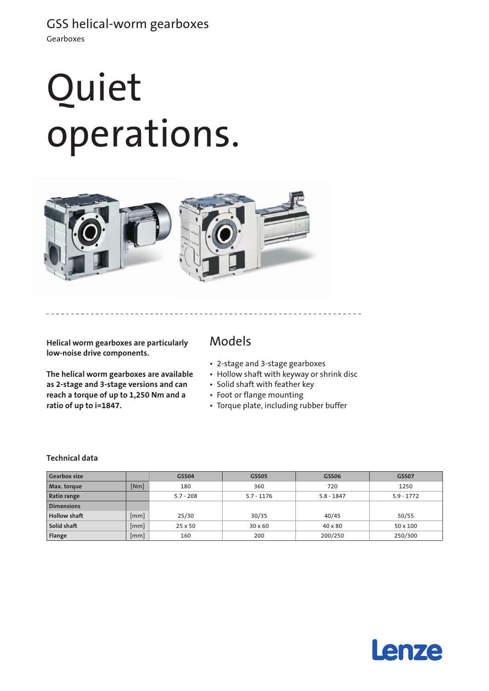# Quiet operations.



**Helical worm gearboxes are particularly low-noise drive components.** 

**The helical worm gearboxes are available as 2-stage and 3-stage versions and can reach a torque of up to 1,250 Nm and a ratio of up to i=1847.**

## Models

- • 2-stage and 3-stage gearboxes
- Hollow shaft with keyway or shrink disc
- • Solid shaft with feather key
- • Foot or flange mounting
- • Torque plate, including rubber buffer

#### **Technical data**

| <b>Gearbox size</b> |      | <b>GSS04</b>   | GSS05          | GSS06          | <b>GSS07</b>    |
|---------------------|------|----------------|----------------|----------------|-----------------|
| Max. torque         | [Nm] | 180            | 360            | 720            | 1250            |
| Ratio range         |      | $5.7 - 208$    | $5.7 - 1176$   | $5.8 - 1847$   | $5.9 - 1772$    |
| <b>Dimensions</b>   |      |                |                |                |                 |
| Hollow shaft        | [mm] | 25/30          | 30/35          | 40/45          | 50/55           |
| Solid shaft         | mm   | $25 \times 50$ | $30 \times 60$ | $40 \times 80$ | $50 \times 100$ |
| Flange              | [mm] | 160            | 200            | 200/250        | 250/300         |